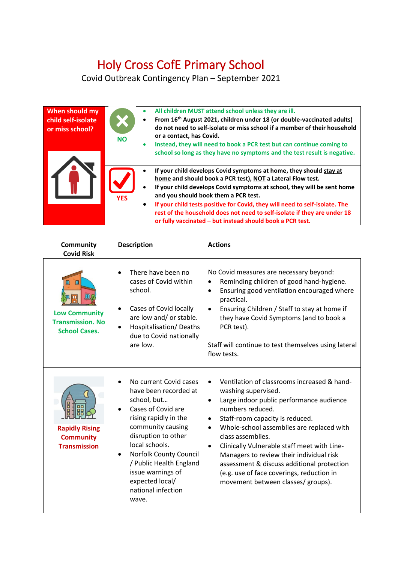## Holy Cross CofE Primary School

Covid Outbreak Contingency Plan – September 2021

| When should my<br>child self-isolate<br>or miss school? | $\bullet$<br>$\bullet$<br><b>NO</b><br>$\bullet$  | All children MUST attend school unless they are ill.<br>From 16 <sup>th</sup> August 2021, children under 18 (or double-vaccinated adults)<br>do not need to self-isolate or miss school if a member of their household<br>or a contact, has Covid.<br>Instead, they will need to book a PCR test but can continue coming to<br>school so long as they have no symptoms and the test result is negative.                                                                    |
|---------------------------------------------------------|---------------------------------------------------|-----------------------------------------------------------------------------------------------------------------------------------------------------------------------------------------------------------------------------------------------------------------------------------------------------------------------------------------------------------------------------------------------------------------------------------------------------------------------------|
|                                                         | $\bullet$<br>$\bullet$<br><b>YFS</b><br>$\bullet$ | If your child develops Covid symptoms at home, they should stay at<br>home and should book a PCR test), NOT a Lateral Flow test.<br>If your child develops Covid symptoms at school, they will be sent home<br>and you should book them a PCR test.<br>If your child tests positive for Covid, they will need to self-isolate. The<br>rest of the household does not need to self-isolate if they are under 18<br>or fully vaccinated - but instead should book a PCR test. |

| Community<br><b>Covid Risk</b>                                               | <b>Description</b>                                                                                                                                                                                                                                                                                      | <b>Actions</b>                                                                                                                                                                                                                                                                                                                                                                                                                                                                   |
|------------------------------------------------------------------------------|---------------------------------------------------------------------------------------------------------------------------------------------------------------------------------------------------------------------------------------------------------------------------------------------------------|----------------------------------------------------------------------------------------------------------------------------------------------------------------------------------------------------------------------------------------------------------------------------------------------------------------------------------------------------------------------------------------------------------------------------------------------------------------------------------|
| Щ<br><b>Low Community</b><br><b>Transmission, No</b><br><b>School Cases.</b> | There have been no<br>cases of Covid within<br>school.<br>Cases of Covid locally<br>are low and/ or stable.<br>Hospitalisation/Deaths<br>due to Covid nationally<br>are low.                                                                                                                            | No Covid measures are necessary beyond:<br>Reminding children of good hand-hygiene.<br>Ensuring good ventilation encouraged where<br>٠<br>practical.<br>Ensuring Children / Staff to stay at home if<br>$\bullet$<br>they have Covid Symptoms (and to book a<br>PCR test).<br>Staff will continue to test themselves using lateral<br>flow tests.                                                                                                                                |
| <b>Rapidly Rising</b><br><b>Community</b><br><b>Transmission</b>             | No current Covid cases<br>have been recorded at<br>school, but<br>Cases of Covid are<br>rising rapidly in the<br>community causing<br>disruption to other<br>local schools.<br>Norfolk County Council<br>/ Public Health England<br>issue warnings of<br>expected local/<br>national infection<br>wave. | Ventilation of classrooms increased & hand-<br>washing supervised.<br>Large indoor public performance audience<br>numbers reduced.<br>Staff-room capacity is reduced.<br>Whole-school assemblies are replaced with<br>$\bullet$<br>class assemblies.<br>Clinically Vulnerable staff meet with Line-<br>Managers to review their individual risk<br>assessment & discuss additional protection<br>(e.g. use of face coverings, reduction in<br>movement between classes/ groups). |